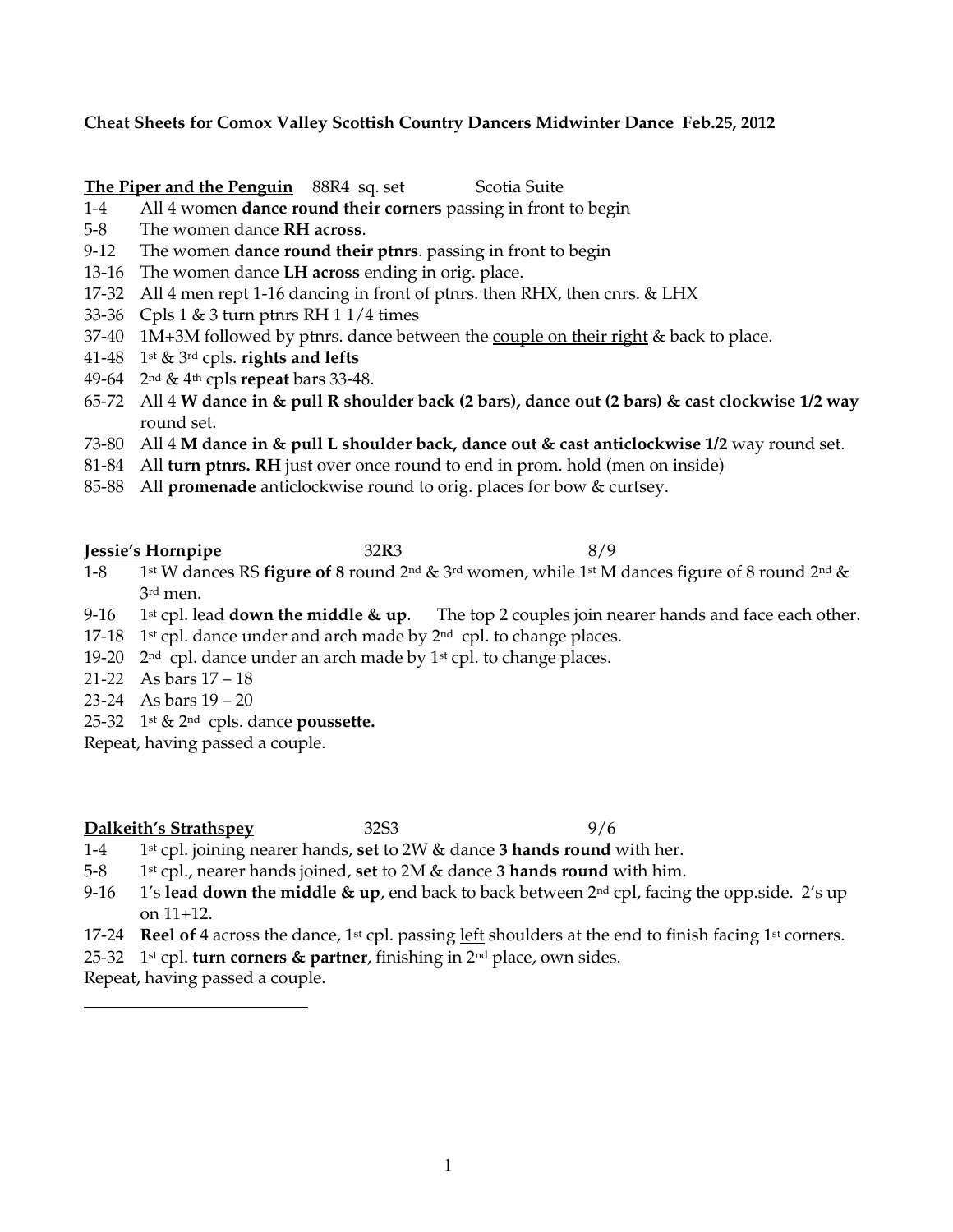### **Cheat Sheets for Comox Valley Scottish Country Dancers Midwinter Dance Feb.25, 2012**

**The Piper and the Penguin** 88R4 sq. set Scotia Suite

- 1-4 All 4 women **dance round their corners** passing in front to begin
- 5-8 The women dance **RH across**.
- 9-12 The women **dance round their ptnrs**. passing in front to begin
- 13-16 The women dance **LH across** ending in orig. place.
- 17-32 All 4 men rept 1-16 dancing in front of ptnrs. then RHX, then cnrs. & LHX
- 33-36 Cpls 1 & 3 turn ptnrs RH 1 1/4 times
- 37-40 1M+3M followed by ptnrs. dance between the couple on their right & back to place.
- 41-48 1st & 3rd cpls. **rights and lefts**
- 49-64 2nd & 4th cpls **repeat** bars 33-48.
- 65-72 All 4 **W dance in & pull R shoulder back (2 bars), dance out (2 bars) & cast clockwise 1/2 way** round set.
- 73-80 All 4 **M dance in & pull L shoulder back, dance out & cast anticlockwise 1/2** way round set.
- 81-84 All **turn ptnrs. RH** just over once round to end in prom. hold (men on inside)
- 85-88 All **promenade** anticlockwise round to orig. places for bow & curtsey.

**Jessie's Hornpipe** 32**R**3 8/9

- 1-8 1st W dances RS **figure of 8** round 2nd & 3rd women, while 1st M dances figure of 8 round 2nd & 3rd men.
- 9-16 1st cpl. lead **down the middle & up**. The top 2 couples join nearer hands and face each other.
- 17-18 1<sup>st</sup> cpl. dance under and arch made by  $2<sup>nd</sup>$  cpl. to change places.
- 19-20  $2<sup>nd</sup>$  cpl. dance under an arch made by 1<sup>st</sup> cpl. to change places.
- 21-22 As bars 17 18
- 23-24 As bars 19 20
- 25-32 1st & 2nd cpls. dance **poussette.**

Repeat, having passed a couple.

#### **Dalkeith's Strathspey** 32S3 9/6

- 1-4 1st cpl. joining nearer hands, **set** to 2W & dance **3 hands round** with her.
- 5-8 1st cpl., nearer hands joined, **set** to 2M & dance **3 hands round** with him.
- 9-16 1's **lead down the middle & up**, end back to back between 2nd cpl, facing the opp.side. 2's up on 11+12.
- 17-24 **Reel of 4** across the dance, 1<sup>st</sup> cpl. passing left shoulders at the end to finish facing 1<sup>st</sup> corners.
- 25-32 1st cpl. **turn corners & partner**, finishing in 2nd place, own sides.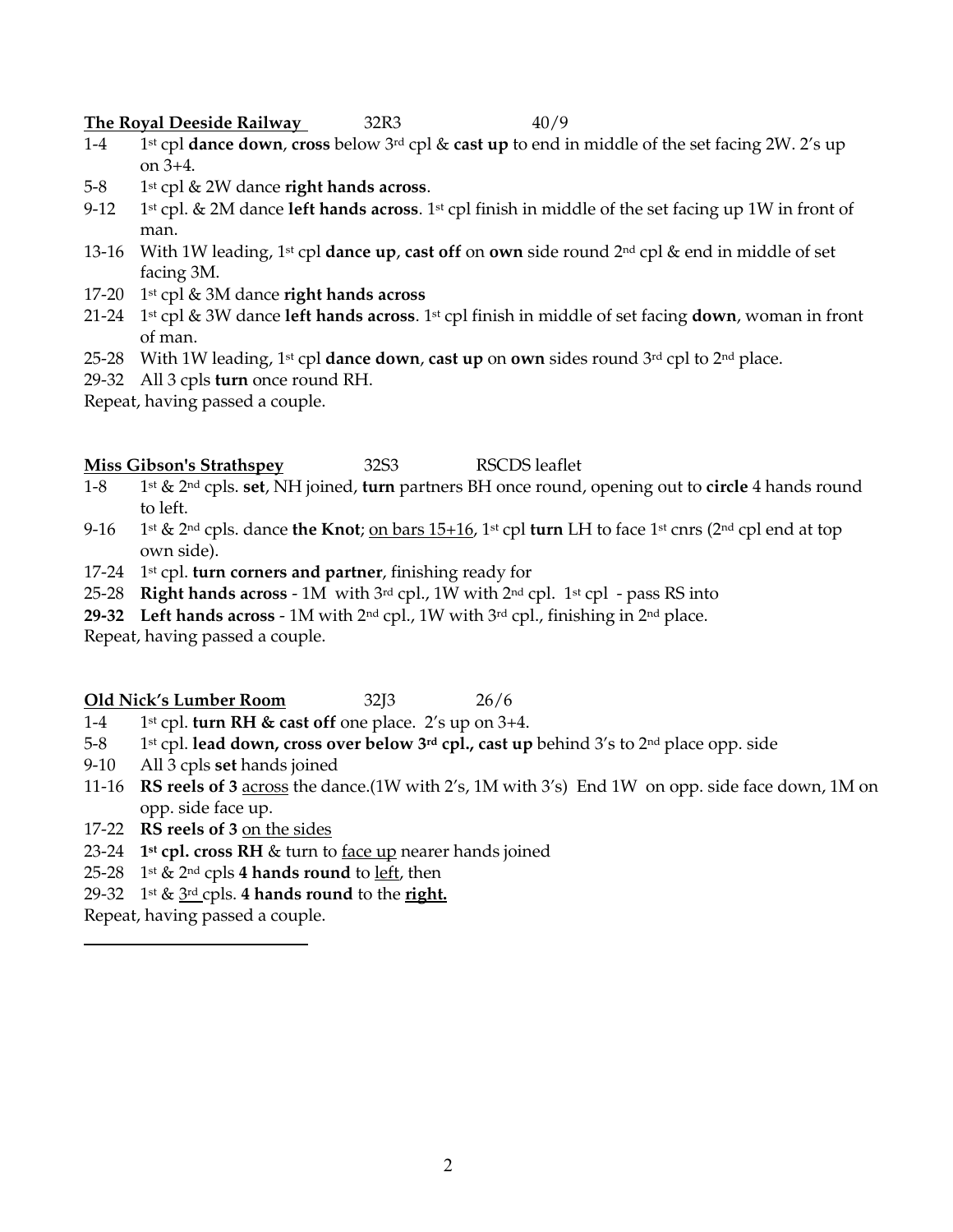**The Royal Deeside Railway** 32R3 40/9

- 1-4 1st cpl **dance down**, **cross** below 3rd cpl & **cast up** to end in middle of the set facing 2W. 2's up on 3+4.
- 5-8 1st cpl & 2W dance **right hands across**.
- 9-12 1st cpl. & 2M dance **left hands across**. 1st cpl finish in middle of the set facing up 1W in front of man.
- 13-16 With 1W leading, 1st cpl **dance up**, **cast off** on **own** side round 2nd cpl & end in middle of set facing 3M.
- 17-20 1st cpl & 3M dance **right hands across**
- 21-24 1st cpl & 3W dance **left hands across**. 1st cpl finish in middle of set facing **down**, woman in front of man.
- 25-28 With 1W leading, 1st cpl **dance down**, **cast up** on **own** sides round 3rd cpl to 2nd place.
- 29-32 All 3 cpls **turn** once round RH.

Repeat, having passed a couple.

### **Miss Gibson's Strathspey** 32S3 RSCDS leaflet

- 1-8 1st & 2nd cpls. **set**, NH joined, **turn** partners BH once round, opening out to **circle** 4 hands round to left.
- 9-16 1st & 2nd cpls. dance **the Knot**; on bars 15+16, 1st cpl **turn** LH to face 1st cnrs (2nd cpl end at top own side).
- 17-24 1st cpl. **turn corners and partner**, finishing ready for
- 25-28 **Right hands across** 1M with 3rd cpl., 1W with 2nd cpl. 1st cpl pass RS into
- **29-32 Left hands across** 1M with 2nd cpl., 1W with 3rd cpl., finishing in 2nd place.

Repeat, having passed a couple.

#### **Old Nick's Lumber Room** 32J3 26/6

- 1-4 1st cpl. **turn RH & cast off** one place. 2's up on 3+4.
- 5-8 1st cpl. **lead down, cross over below 3rd cpl., cast up** behind 3's to 2nd place opp. side
- 9-10 All 3 cpls **set** hands joined
- 11-16 **RS reels of 3** across the dance.(1W with 2's, 1M with 3's) End 1W on opp. side face down, 1M on opp. side face up.
- 17-22 **RS reels of 3** on the sides
- 23-24 **1st cpl. cross RH** & turn to face up nearer hands joined
- 25-28 1st & 2nd cpls **4 hands round** to left, then
- 29-32 1st & 3rd cpls. **4 hands round** to the **right.**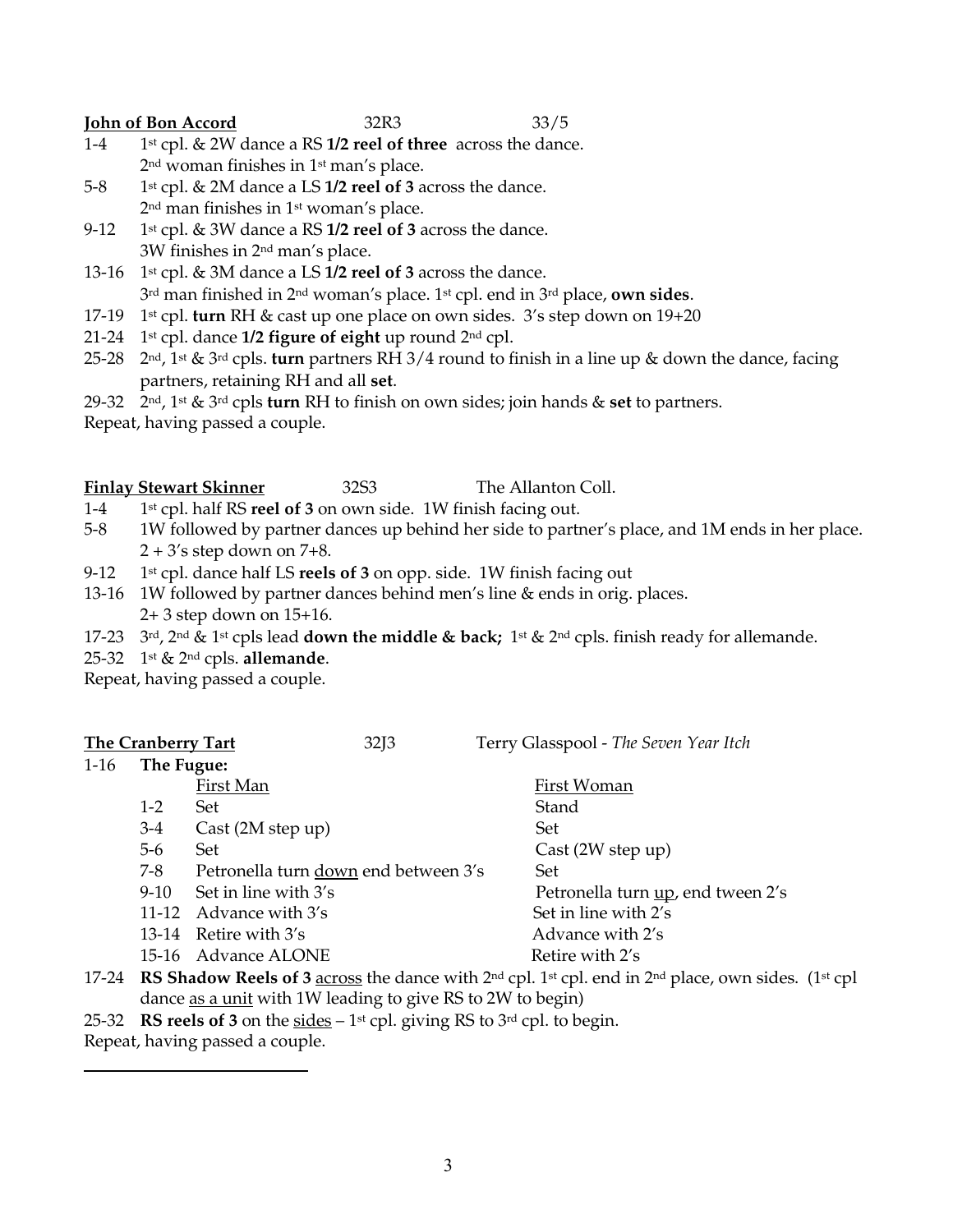**<u>John of Bon Accord</u>** 32R3 33/5

- 1-4 1st cpl. & 2W dance a RS **1/2 reel of three** across the dance. 2nd woman finishes in 1st man's place.
- 5-8 1st cpl. & 2M dance a LS **1/2 reel of 3** across the dance. 2nd man finishes in 1st woman's place.
- 9-12 1st cpl. & 3W dance a RS **1/2 reel of 3** across the dance. 3W finishes in 2nd man's place.
- 13-16 1st cpl. & 3M dance a LS **1/2 reel of 3** across the dance. 3rd man finished in 2nd woman's place. 1st cpl. end in 3rd place, **own sides**.
- 17-19 1st cpl. **turn** RH & cast up one place on own sides. 3's step down on 19+20
- 21-24 1st cpl. dance **1/2 figure of eight** up round 2nd cpl.
- 25-28 2nd, 1st & 3rd cpls. **turn** partners RH 3/4 round to finish in a line up & down the dance, facing partners, retaining RH and all **set**.
- 29-32 2nd, 1st & 3rd cpls **turn** RH to finish on own sides; join hands & **set** to partners.

Repeat, having passed a couple.

## **Finlay Stewart Skinner** 32S3 The Allanton Coll.

- 1-4 1st cpl. half RS **reel of 3** on own side. 1W finish facing out.
- 5-8 1W followed by partner dances up behind her side to partner's place, and 1M ends in her place.  $2 + 3$ 's step down on 7+8.
- 9-12 1st cpl. dance half LS **reels of 3** on opp. side. 1W finish facing out
- 13-16 1W followed by partner dances behind men's line & ends in orig. places. 2+ 3 step down on 15+16.
- 17-23 3rd, 2nd & 1st cpls lead **down the middle & back;** 1st & 2nd cpls. finish ready for allemande.
- 25-32 1st & 2nd cpls. **allemande**.

Repeat, having passed a couple.

| <b>The Cranberry Tart</b> |          |                                      | 32J3 | Terry Glasspool - The Seven Year Itch |
|---------------------------|----------|--------------------------------------|------|---------------------------------------|
| The Fugue:<br>1-16        |          |                                      |      |                                       |
|                           |          | First Man                            |      | First Woman                           |
|                           | $1 - 2$  | <b>Set</b>                           |      | Stand                                 |
|                           | $3-4$    | Cast (2M step up)                    |      | Set                                   |
|                           | $5-6$    | Set                                  |      | Cast(2W step up)                      |
|                           | 7-8      | Petronella turn down end between 3's |      | Set                                   |
|                           | $9 - 10$ | Set in line with 3's                 |      | Petronella turn up, end tween 2's     |
|                           |          | 11-12 Advance with 3's               |      | Set in line with 2's                  |
|                           |          | 13-14 Retire with $3's$              |      | Advance with 2's                      |
|                           |          | 15-16 Advance ALONE                  |      | Retire with 2's                       |
|                           |          |                                      |      |                                       |

- 17-24 **RS Shadow Reels of 3** across the dance with 2nd cpl. 1st cpl. end in 2nd place, own sides. (1st cpl dance as a unit with 1W leading to give RS to 2W to begin)
- 25-32 **RS reels of 3** on the sides 1st cpl. giving RS to 3rd cpl. to begin.